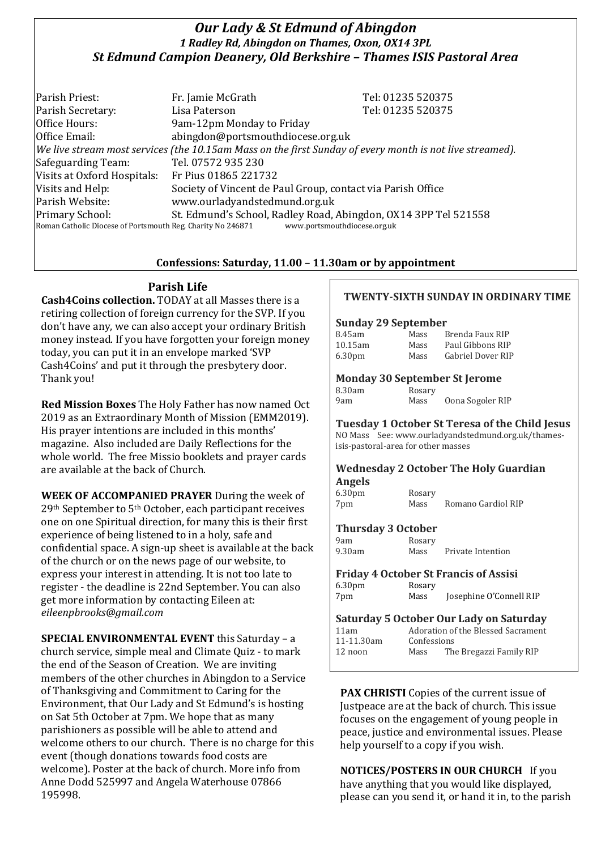# *Our Lady & St Edmund of Abingdon 1 Radley Rd, Abingdon on Thames, Oxon, OX14 3PL St Edmund Campion Deanery, Old Berkshire – Thames ISIS Pastoral Area*

Parish Priest: Fr. Jamie McGrath Tel: 01235 520375 Parish Secretary: Tel: 01235 520375 Office Hours: 9am-12pm Monday to Friday Office Email: abingdon@portsmouthdiocese.org.uk *We live stream most services (the 10.15am Mass on the first Sunday of every month is not live streamed).* Safeguarding Team: Tel. 07572 935 230 Visits at Oxford Hospitals: Fr Pius 01865 221732 Visits and Help: Society of Vincent de Paul Group, contact via Parish Office Parish Website: www.ourladyandstedmund.org.uk Primary School: St. Edmund's School, Radley Road, Abingdon, OX14 3PP Tel 521558 Roman Catholic Diocese of Portsmouth Reg. Charity No 246871 www.portsmouthdiocese.org.uk

### **Confessions: Saturday, 11.00 – 11.30am or by appointment**

### **Parish Life**

**Cash4Coins collection.** TODAY at all Masses there is a retiring collection of foreign currency for the SVP. If you don't have any, we can also accept your ordinary British money instead. If you have forgotten your foreign money today, you can put it in an envelope marked 'SVP Cash4Coins' and put it through the presbytery door. Thank you!

**Red Mission Boxes** The Holy Father has now named Oct 2019 as an Extraordinary Month of Mission (EMM2019). His prayer intentions are included in this months' magazine. Also included are Daily Reflections for the whole world. The free Missio booklets and prayer cards are available at the back of Church.

**WEEK OF ACCOMPANIED PRAYER** During the week of 29th September to 5th October, each participant receives one on one Spiritual direction, for many this is their first experience of being listened to in a holy, safe and confidential space. A sign-up sheet is available at the back of the church or on the news page of our website, to express your interest in attending. It is not too late to register - the deadline is 22nd September. You can also get more information by contacting Eileen at: *eileenpbrooks@gmail.com*

**SPECIAL ENVIRONMENTAL EVENT** this Saturday – a church service, simple meal and Climate Quiz - to mark the end of the Season of Creation. We are inviting members of the other churches in Abingdon to a Service of Thanksgiving and Commitment to Caring for the Environment, that Our Lady and St Edmund's is hosting on Sat 5th October at 7pm. We hope that as many parishioners as possible will be able to attend and welcome others to our church. There is no charge for this event (though donations towards food costs are welcome). Poster at the back of church. More info from Anne Dodd 525997 and Angela Waterhouse 07866 195998.

### **TWENTY-SIXTH SUNDAY IN ORDINARY TIME**

#### **Sunday 29 September**

| 8.45am             | Mass | Brenda Faux RIP   |
|--------------------|------|-------------------|
| 10.15am            | Mass | Paul Gibbons RIP  |
| 6.30 <sub>pm</sub> | Mass | Gabriel Dover RIP |

#### **Monday 30 September St Jerome**

| 8.30am | Rosary |                  |
|--------|--------|------------------|
| 9am    | Mass   | Oona Sogoler RIP |

**Tuesday 1 October St Teresa of the Child Jesus** NO Mass See: www.ourladyandstedmund.org.uk/thamesisis-pastoral-area for other masses

#### **Wednesday 2 October The Holy Guardian Angels**

| 6.30 <sub>pm</sub> | Rosary |                    |
|--------------------|--------|--------------------|
| 7pm                | Mass   | Romano Gardiol RIP |

## **Thursday 3 October**

| 9am    | Rosary |                   |
|--------|--------|-------------------|
| 9.30am | Mass   | Private Intention |

#### **Friday 4 October St Francis of Assisi** 6.30pm Rosary 7pm Mass Josephine O'Connell RIP

## **Saturday 5 October Our Lady on Saturday**

| Mass |                                                                              |
|------|------------------------------------------------------------------------------|
|      | Adoration of the Blessed Sacrament<br>Confessions<br>The Bregazzi Family RIP |

**PAX CHRISTI** Copies of the current issue of Justpeace are at the back of church. This issue focuses on the engagement of young people in peace, justice and environmental issues. Please help yourself to a copy if you wish.

**NOTICES/POSTERS IN OUR CHURCH** If you have anything that you would like displayed, please can you send it, or hand it in, to the parish